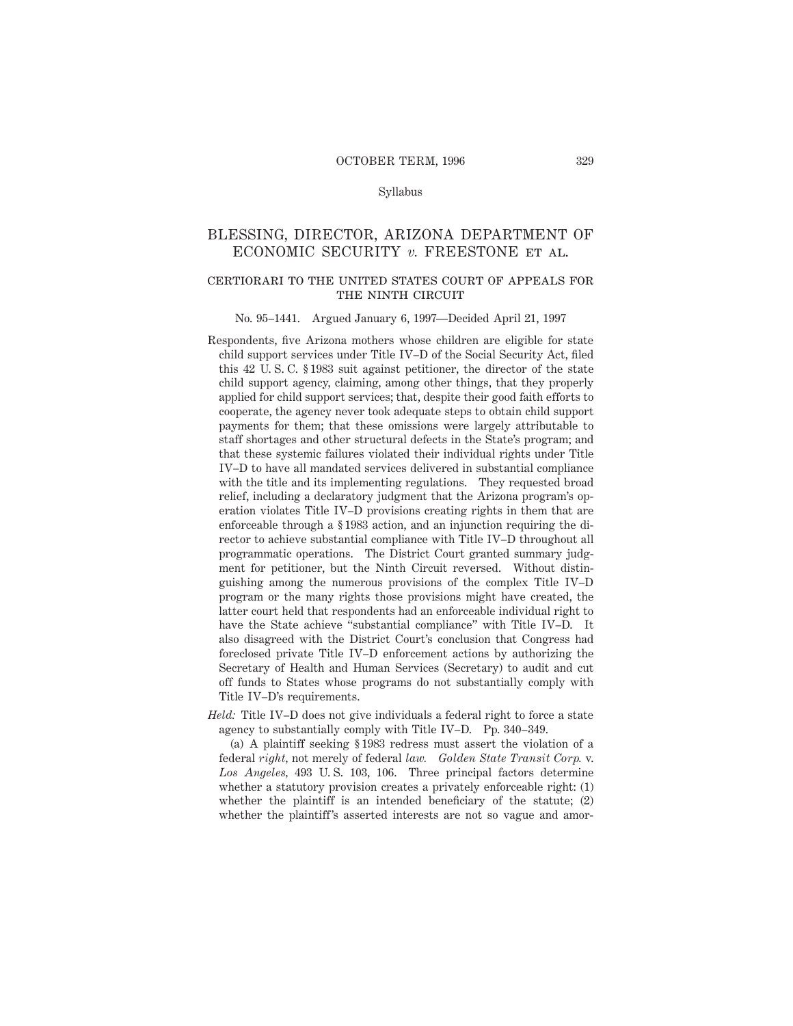#### Syllabus

# BLESSING, DIRECTOR, ARIZONA DEPARTMENT OF ECONOMIC SECURITY *v.* FREESTONE et al.

## certiorari to the united states court of appeals forTHE NINTH CIRCUIT

#### No. 95–1441. Argued January 6, 1997—Decided April 21, 1997

- Respondents, five Arizona mothers whose children are eligible for state child support services under Title IV–D of the Social Security Act, filed this 42 U. S. C. § 1983 suit against petitioner, the director of the state child support agency, claiming, among other things, that they properly applied for child support services; that, despite their good faith efforts to cooperate, the agency never took adequate steps to obtain child support payments for them; that these omissions were largely attributable to staff shortages and other structural defects in the State's program; and that these systemic failures violated their individual rights under Title IV–D to have all mandated services delivered in substantial compliance with the title and its implementing regulations. They requested broad relief, including a declaratory judgment that the Arizona program's operation violates Title IV–D provisions creating rights in them that are enforceable through a § 1983 action, and an injunction requiring the director to achieve substantial compliance with Title IV–D throughout all programmatic operations. The District Court granted summary judgment for petitioner, but the Ninth Circuit reversed. Without distinguishing among the numerous provisions of the complex Title IV–D program or the many rights those provisions might have created, the latter court held that respondents had an enforceable individual right to have the State achieve "substantial compliance" with Title IV–D. It also disagreed with the District Court's conclusion that Congress had foreclosed private Title IV–D enforcement actions by authorizing the Secretary of Health and Human Services (Secretary) to audit and cut off funds to States whose programs do not substantially comply with Title IV–D's requirements.
- *Held:* Title IV–D does not give individuals a federal right to force a state agency to substantially comply with Title IV–D. Pp. 340–349.

(a) A plaintiff seeking § 1983 redress must assert the violation of a federal *right,* not merely of federal *law. Golden State Transit Corp.* v. *Los Angeles,* 493 U. S. 103, 106. Three principal factors determine whether a statutory provision creates a privately enforceable right: (1) whether the plaintiff is an intended beneficiary of the statute; (2) whether the plaintiff's asserted interests are not so vague and amor-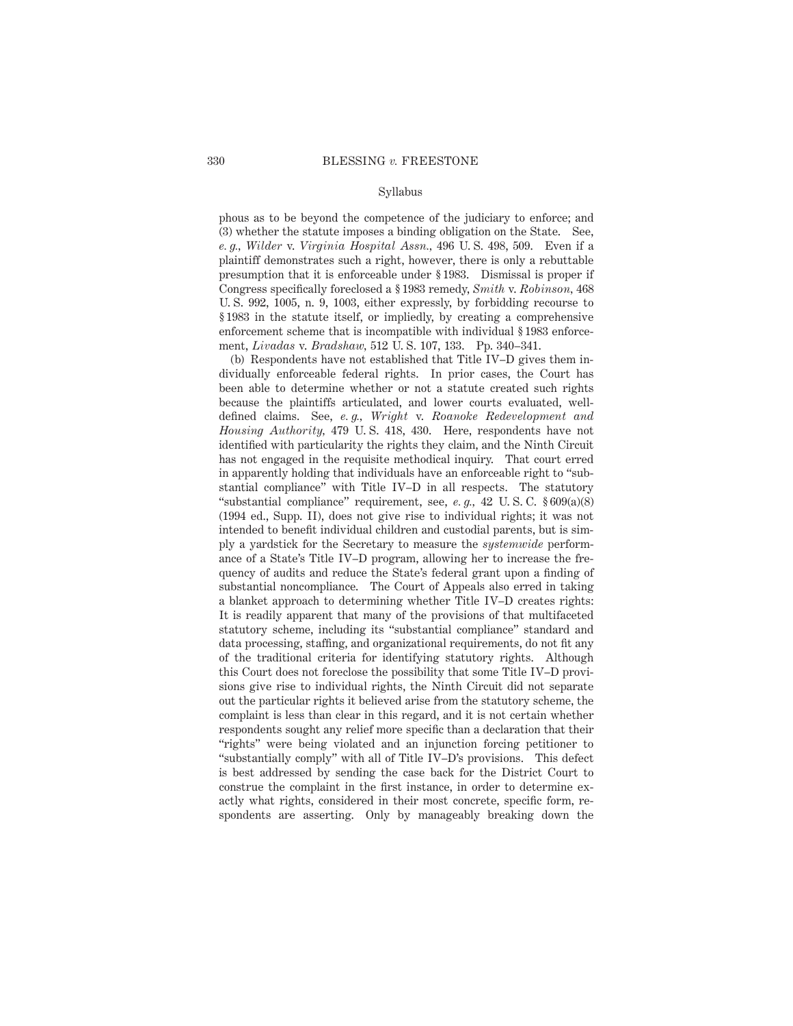#### Syllabus

phous as to be beyond the competence of the judiciary to enforce; and (3) whether the statute imposes a binding obligation on the State. See, *e. g., Wilder* v. *Virginia Hospital Assn.,* 496 U. S. 498, 509. Even if a plaintiff demonstrates such a right, however, there is only a rebuttable presumption that it is enforceable under § 1983. Dismissal is proper if Congress specifically foreclosed a § 1983 remedy, *Smith* v. *Robinson,* 468 U. S. 992, 1005, n. 9, 1003, either expressly, by forbidding recourse to § 1983 in the statute itself, or impliedly, by creating a comprehensive enforcement scheme that is incompatible with individual § 1983 enforcement, *Livadas* v. *Bradshaw,* 512 U. S. 107, 133. Pp. 340–341.

(b) Respondents have not established that Title IV–D gives them individually enforceable federal rights. In prior cases, the Court has been able to determine whether or not a statute created such rights because the plaintiffs articulated, and lower courts evaluated, welldefined claims. See, *e. g., Wright* v. *Roanoke Redevelopment and Housing Authority,* 479 U. S. 418, 430. Here, respondents have not identified with particularity the rights they claim, and the Ninth Circuit has not engaged in the requisite methodical inquiry. That court erred in apparently holding that individuals have an enforceable right to "substantial compliance" with Title IV–D in all respects. The statutory "substantial compliance" requirement, see, *e. g.,* 42 U. S. C. § 609(a)(8) (1994 ed., Supp. II), does not give rise to individual rights; it was not intended to benefit individual children and custodial parents, but is simply a yardstick for the Secretary to measure the *systemwide* performance of a State's Title IV–D program, allowing her to increase the frequency of audits and reduce the State's federal grant upon a finding of substantial noncompliance. The Court of Appeals also erred in taking a blanket approach to determining whether Title IV–D creates rights: It is readily apparent that many of the provisions of that multifaceted statutory scheme, including its "substantial compliance" standard and data processing, staffing, and organizational requirements, do not fit any of the traditional criteria for identifying statutory rights. Although this Court does not foreclose the possibility that some Title IV–D provisions give rise to individual rights, the Ninth Circuit did not separate out the particular rights it believed arise from the statutory scheme, the complaint is less than clear in this regard, and it is not certain whether respondents sought any relief more specific than a declaration that their "rights" were being violated and an injunction forcing petitioner to "substantially comply" with all of Title IV–D's provisions. This defect is best addressed by sending the case back for the District Court to construe the complaint in the first instance, in order to determine exactly what rights, considered in their most concrete, specific form, respondents are asserting. Only by manageably breaking down the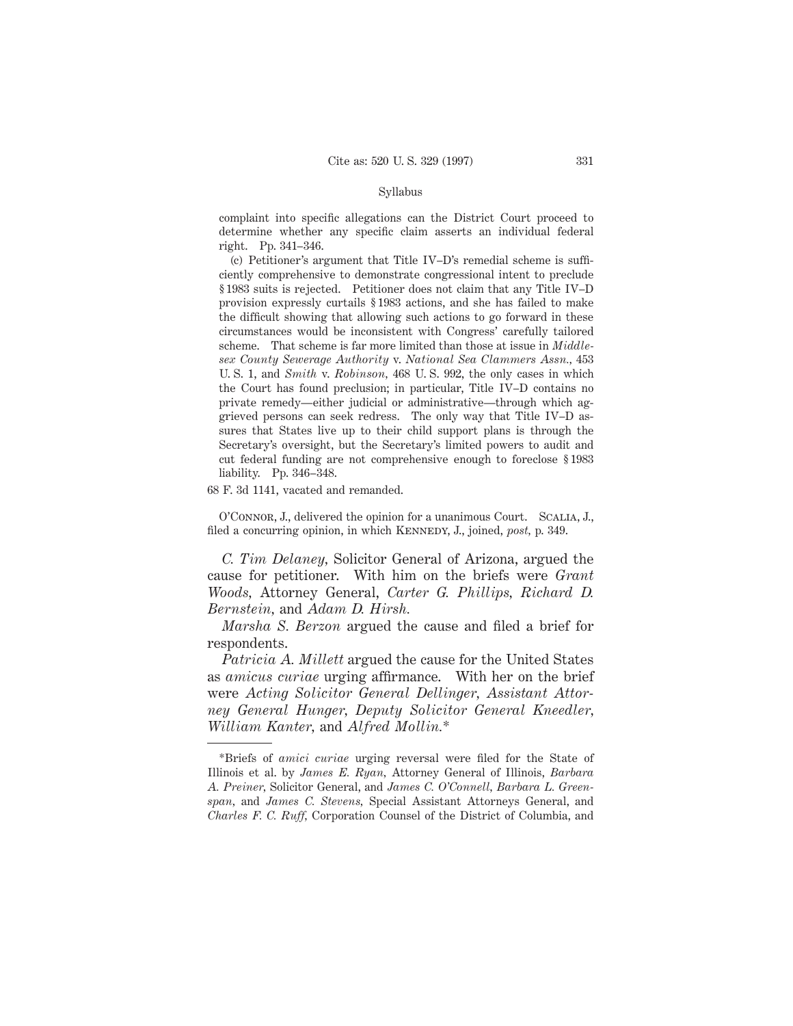#### Syllabus

complaint into specific allegations can the District Court proceed to determine whether any specific claim asserts an individual federal right. Pp. 341–346.

(c) Petitioner's argument that Title IV–D's remedial scheme is sufficiently comprehensive to demonstrate congressional intent to preclude § 1983 suits is rejected. Petitioner does not claim that any Title IV–D provision expressly curtails § 1983 actions, and she has failed to make the difficult showing that allowing such actions to go forward in these circumstances would be inconsistent with Congress' carefully tailored scheme. That scheme is far more limited than those at issue in *Middlesex County Sewerage Authority* v. *National Sea Clammers Assn.,* 453 U. S. 1, and *Smith* v. *Robinson,* 468 U. S. 992, the only cases in which the Court has found preclusion; in particular, Title IV–D contains no private remedy—either judicial or administrative—through which aggrieved persons can seek redress. The only way that Title IV–D assures that States live up to their child support plans is through the Secretary's oversight, but the Secretary's limited powers to audit and cut federal funding are not comprehensive enough to foreclose § 1983 liability. Pp. 346–348.

68 F. 3d 1141, vacated and remanded.

O'Connor, J., delivered the opinion for a unanimous Court. Scalia, J., filed a concurring opinion, in which KENNEDY, J., joined, *post*, p. 349.

*C. Tim Delaney,* Solicitor General of Arizona, argued the cause for petitioner. With him on the briefs were *Grant Woods,* Attorney General, *Carter G. Phillips, Richard D. Bernstein,* and *Adam D. Hirsh.*

*Marsha S. Berzon* argued the cause and filed a brief for respondents.

*Patricia A. Millett* argued the cause for the United States as *amicus curiae* urging affirmance. With her on the brief were *Acting Solicitor General Dellinger, Assistant Attorney General Hunger, Deputy Solicitor General Kneedler, William Kanter,* and *Alfred Mollin.*\*

<sup>\*</sup>Briefs of *amici curiae* urging reversal were filed for the State of Illinois et al. by *James E. Ryan,* Attorney General of Illinois, *Barbara A. Preiner,* Solicitor General, and *James C. O'Connell, Barbara L. Greenspan,* and *James C. Stevens,* Special Assistant Attorneys General, and *Charles F. C. Ruff,* Corporation Counsel of the District of Columbia, and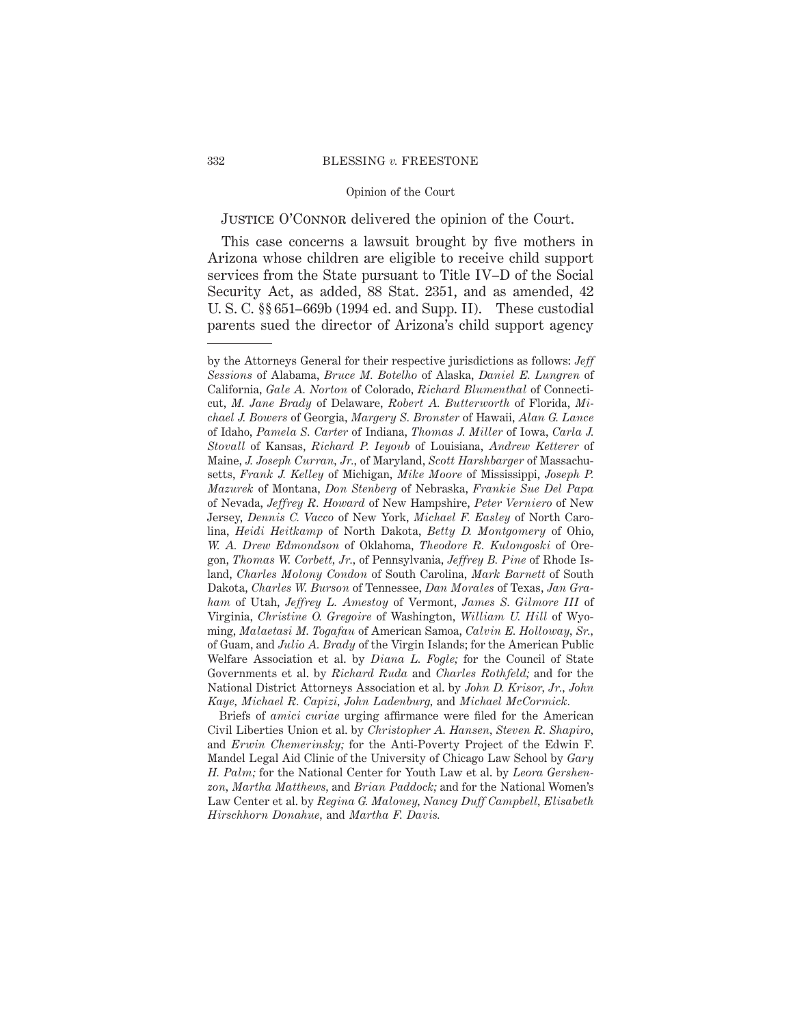JUSTICE O'CONNOR delivered the opinion of the Court.

This case concerns a lawsuit brought by five mothers in Arizona whose children are eligible to receive child support services from the State pursuant to Title IV–D of the Social Security Act, as added, 88 Stat. 2351, and as amended, 42 U. S. C. §§ 651–669b (1994 ed. and Supp. II). These custodial parents sued the director of Arizona's child support agency

Briefs of *amici curiae* urging affirmance were filed for the American Civil Liberties Union et al. by *Christopher A. Hansen, Steven R. Shapiro,* and *Erwin Chemerinsky;* for the Anti-Poverty Project of the Edwin F. Mandel Legal Aid Clinic of the University of Chicago Law School by *Gary H. Palm;* for the National Center for Youth Law et al. by *Leora Gershenzon, Martha Matthews,* and *Brian Paddock;* and for the National Women's Law Center et al. by *Regina G. Maloney, Nancy Duff Campbell, Elisabeth Hirschhorn Donahue,* and *Martha F. Davis.*

by the Attorneys General for their respective jurisdictions as follows: *Jeff Sessions* of Alabama, *Bruce M. Botelho* of Alaska, *Daniel E. Lungren* of California, *Gale A. Norton* of Colorado, *Richard Blumenthal* of Connecticut, *M. Jane Brady* of Delaware, *Robert A. Butterworth* of Florida, *Michael J. Bowers* of Georgia, *Margery S. Bronster* of Hawaii, *Alan G. Lance* of Idaho, *Pamela S. Carter* of Indiana, *Thomas J. Miller* of Iowa, *Carla J. Stovall* of Kansas, *Richard P. Ieyoub* of Louisiana, *Andrew Ketterer* of Maine, *J. Joseph Curran, Jr.,* of Maryland, *Scott Harshbarger* of Massachusetts, *Frank J. Kelley* of Michigan, *Mike Moore* of Mississippi, *Joseph P. Mazurek* of Montana, *Don Stenberg* of Nebraska, *Frankie Sue Del Papa* of Nevada, *Jeffrey R. Howard* of New Hampshire, *Peter Verniero* of New Jersey, *Dennis C. Vacco* of New York, *Michael F. Easley* of North Carolina, *Heidi Heitkamp* of North Dakota, *Betty D. Montgomery* of Ohio, *W. A. Drew Edmondson* of Oklahoma, *Theodore R. Kulongoski* of Oregon, *Thomas W. Corbett, Jr.,* of Pennsylvania, *Jeffrey B. Pine* of Rhode Island, *Charles Molony Condon* of South Carolina, *Mark Barnett* of South Dakota, *Charles W. Burson* of Tennessee, *Dan Morales* of Texas, *Jan Graham* of Utah, *Jeffrey L. Amestoy* of Vermont, *James S. Gilmore III* of Virginia, *Christine O. Gregoire* of Washington, *William U. Hill* of Wyoming, *Malaetasi M. Togafau* of American Samoa, *Calvin E. Holloway, Sr.,* of Guam, and *Julio A. Brady* of the Virgin Islands; for the American Public Welfare Association et al. by *Diana L. Fogle;* for the Council of State Governments et al. by *Richard Ruda* and *Charles Rothfeld;* and for the National District Attorneys Association et al. by *John D. Krisor, Jr., John Kaye, Michael R. Capizi, John Ladenburg,* and *Michael McCormick.*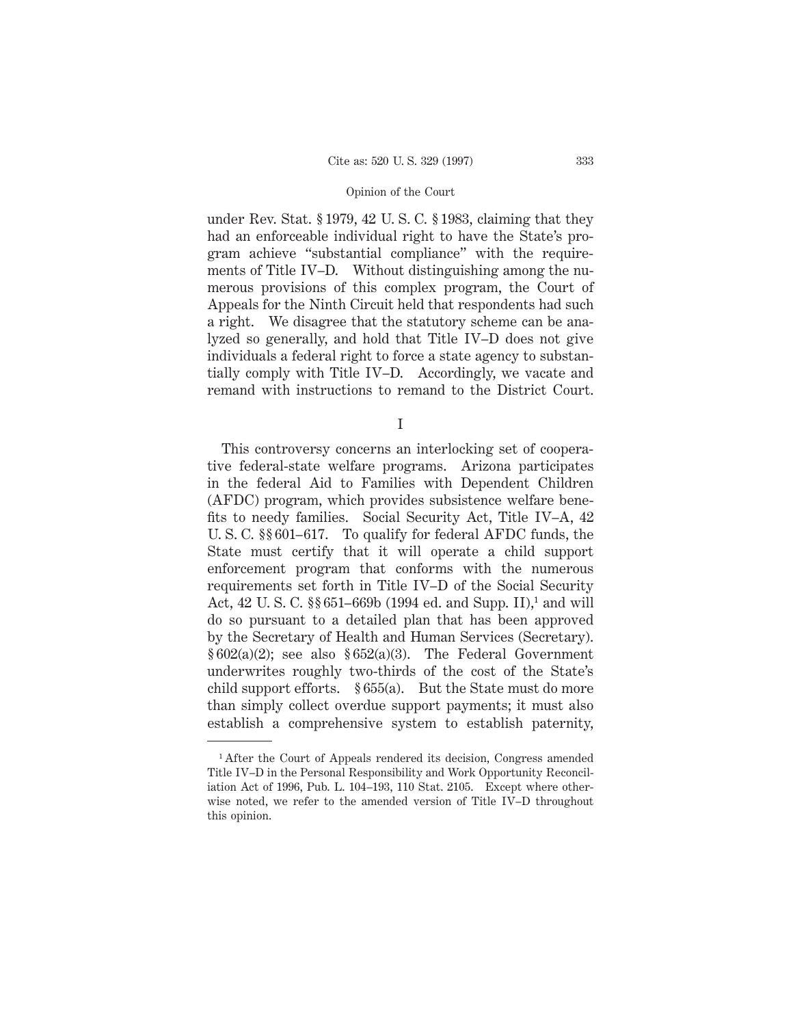under Rev. Stat. § 1979, 42 U. S. C. § 1983, claiming that they had an enforceable individual right to have the State's program achieve "substantial compliance" with the requirements of Title IV–D. Without distinguishing among the numerous provisions of this complex program, the Court of Appeals for the Ninth Circuit held that respondents had such a right. We disagree that the statutory scheme can be analyzed so generally, and hold that Title IV–D does not give individuals a federal right to force a state agency to substantially comply with Title IV–D. Accordingly, we vacate and remand with instructions to remand to the District Court.

I

This controversy concerns an interlocking set of cooperative federal-state welfare programs. Arizona participates in the federal Aid to Families with Dependent Children (AFDC) program, which provides subsistence welfare benefits to needy families. Social Security Act, Title IV–A, 42 U. S. C. §§ 601–617. To qualify for federal AFDC funds, the State must certify that it will operate a child support enforcement program that conforms with the numerous requirements set forth in Title IV–D of the Social Security Act, 42 U.S.C.  $\S § 651-669b$  (1994 ed. and Supp. II),<sup>1</sup> and will do so pursuant to a detailed plan that has been approved by the Secretary of Health and Human Services (Secretary). § 602(a)(2); see also § 652(a)(3). The Federal Government underwrites roughly two-thirds of the cost of the State's child support efforts. § 655(a). But the State must do more than simply collect overdue support payments; it must also establish a comprehensive system to establish paternity,

<sup>&</sup>lt;sup>1</sup> After the Court of Appeals rendered its decision, Congress amended Title IV–D in the Personal Responsibility and Work Opportunity Reconciliation Act of 1996, Pub. L. 104–193, 110 Stat. 2105. Except where otherwise noted, we refer to the amended version of Title IV–D throughout this opinion.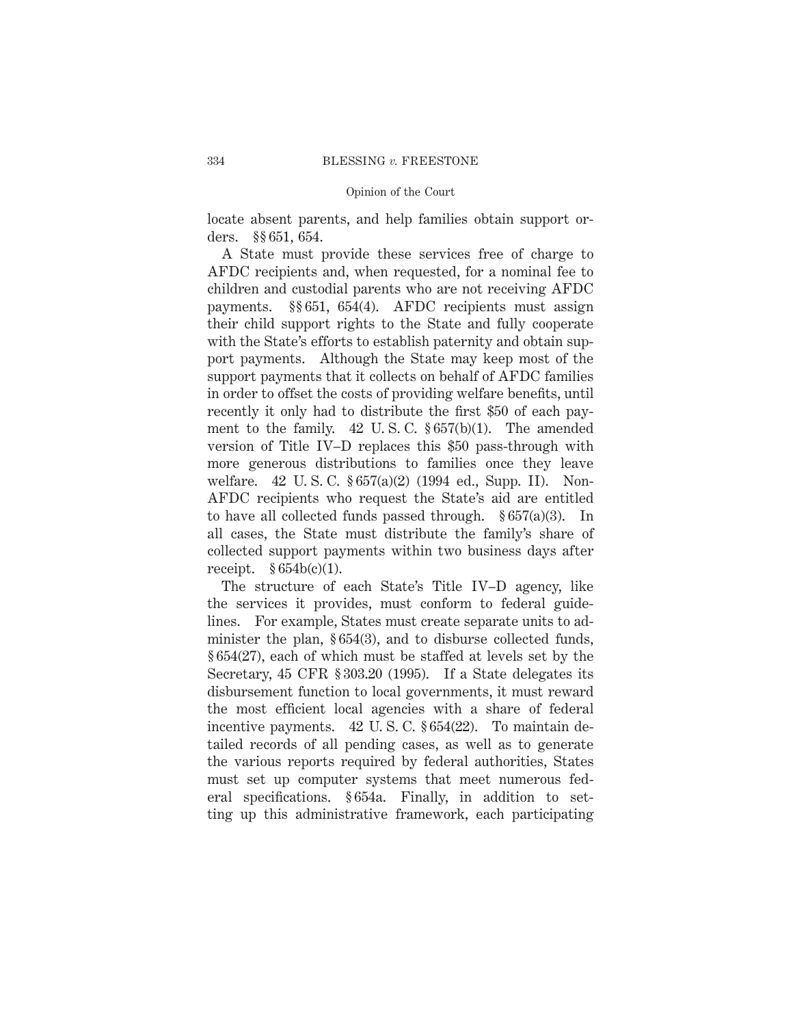locate absent parents, and help families obtain support orders. §§ 651, 654.

A State must provide these services free of charge to AFDC recipients and, when requested, for a nominal fee to children and custodial parents who are not receiving AFDC payments. §§ 651, 654(4). AFDC recipients must assign their child support rights to the State and fully cooperate with the State's efforts to establish paternity and obtain support payments. Although the State may keep most of the support payments that it collects on behalf of AFDC families in order to offset the costs of providing welfare benefits, until recently it only had to distribute the first \$50 of each payment to the family.  $42 \text{ U.S. C. }$  \$657(b)(1). The amended version of Title IV–D replaces this \$50 pass-through with more generous distributions to families once they leave welfare. 42 U. S. C. § 657(a)(2) (1994 ed., Supp. II). Non-AFDC recipients who request the State's aid are entitled to have all collected funds passed through.  $$657(a)(3)$ . In all cases, the State must distribute the family's share of collected support payments within two business days after receipt.  $§ 654b(c)(1)$ .

The structure of each State's Title IV–D agency, like the services it provides, must conform to federal guidelines. For example, States must create separate units to administer the plan, §654(3), and to disburse collected funds, § 654(27), each of which must be staffed at levels set by the Secretary, 45 CFR § 303.20 (1995). If a State delegates its disbursement function to local governments, it must reward the most efficient local agencies with a share of federal incentive payments. 42 U.S.C. § 654(22). To maintain detailed records of all pending cases, as well as to generate the various reports required by federal authorities, States must set up computer systems that meet numerous federal specifications. § 654a. Finally, in addition to setting up this administrative framework, each participating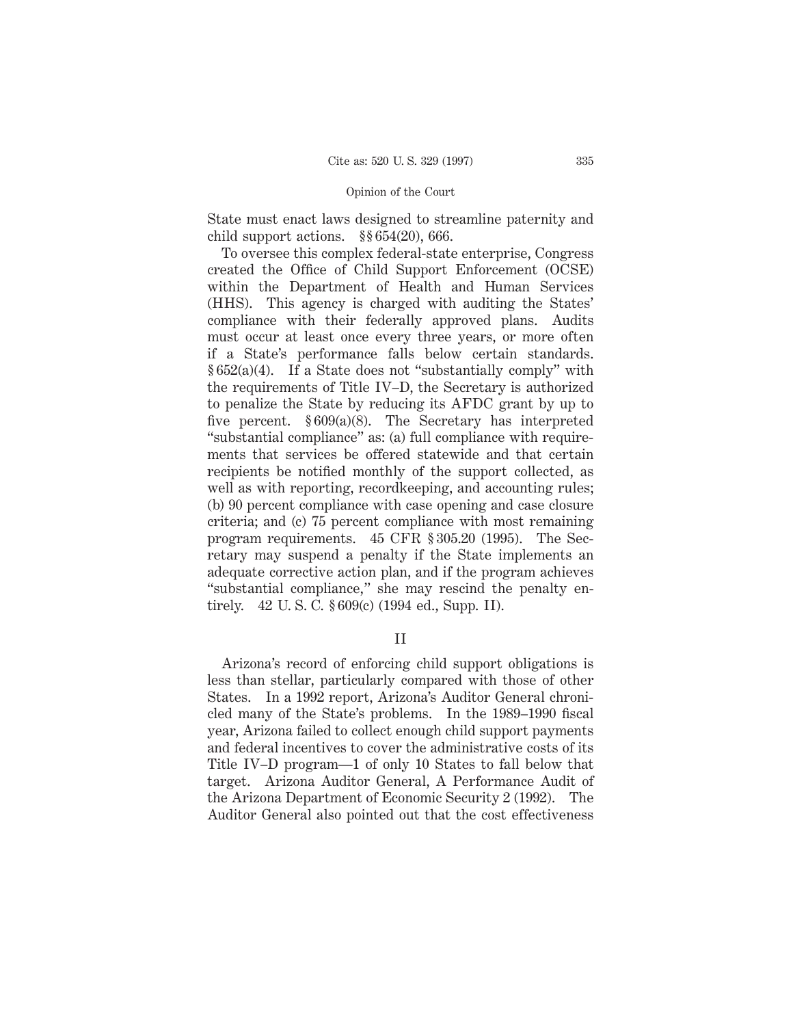State must enact laws designed to streamline paternity and child support actions. §§ 654(20), 666.

To oversee this complex federal-state enterprise, Congress created the Office of Child Support Enforcement (OCSE) within the Department of Health and Human Services (HHS). This agency is charged with auditing the States' compliance with their federally approved plans. Audits must occur at least once every three years, or more often if a State's performance falls below certain standards. § 652(a)(4). If a State does not "substantially comply" with the requirements of Title IV–D, the Secretary is authorized to penalize the State by reducing its AFDC grant by up to five percent. § 609(a)(8). The Secretary has interpreted "substantial compliance" as: (a) full compliance with requirements that services be offered statewide and that certain recipients be notified monthly of the support collected, as well as with reporting, record keeping, and accounting rules; (b) 90 percent compliance with case opening and case closure criteria; and (c) 75 percent compliance with most remaining program requirements. 45 CFR § 305.20 (1995). The Secretary may suspend a penalty if the State implements an adequate corrective action plan, and if the program achieves "substantial compliance," she may rescind the penalty entirely. 42 U. S. C. § 609(c) (1994 ed., Supp. II).

II

Arizona's record of enforcing child support obligations is less than stellar, particularly compared with those of other States. In a 1992 report, Arizona's Auditor General chronicled many of the State's problems. In the 1989–1990 fiscal year, Arizona failed to collect enough child support payments and federal incentives to cover the administrative costs of its Title IV–D program—1 of only 10 States to fall below that target. Arizona Auditor General, A Performance Audit of the Arizona Department of Economic Security 2 (1992). The Auditor General also pointed out that the cost effectiveness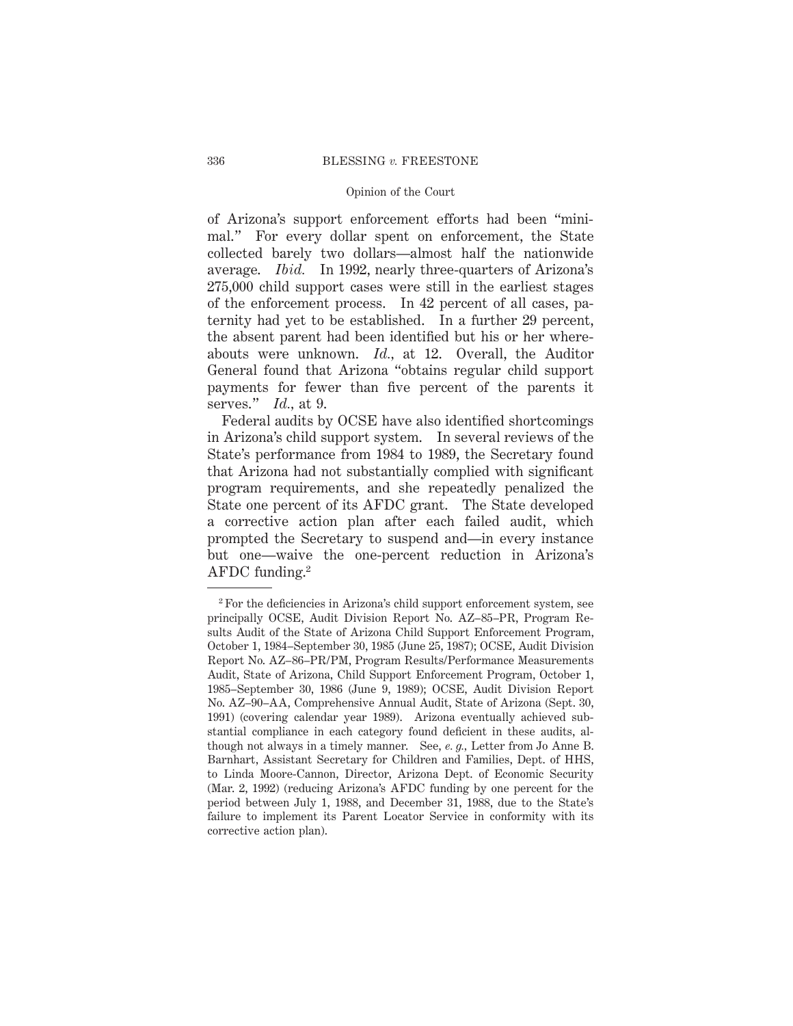of Arizona's support enforcement efforts had been "minimal." For every dollar spent on enforcement, the State collected barely two dollars—almost half the nationwide average. *Ibid.* In 1992, nearly three-quarters of Arizona's 275,000 child support cases were still in the earliest stages of the enforcement process. In 42 percent of all cases, paternity had yet to be established. In a further 29 percent, the absent parent had been identified but his or her whereabouts were unknown. *Id.,* at 12. Overall, the Auditor General found that Arizona "obtains regular child support payments for fewer than five percent of the parents it serves." *Id.,* at 9.

Federal audits by OCSE have also identified shortcomings in Arizona's child support system. In several reviews of the State's performance from 1984 to 1989, the Secretary found that Arizona had not substantially complied with significant program requirements, and she repeatedly penalized the State one percent of its AFDC grant. The State developed a corrective action plan after each failed audit, which prompted the Secretary to suspend and—in every instance but one—waive the one-percent reduction in Arizona's AFDC funding.<sup>2</sup>

<sup>2</sup> For the deficiencies in Arizona's child support enforcement system, see principally OCSE, Audit Division Report No. AZ–85–PR, Program Results Audit of the State of Arizona Child Support Enforcement Program, October 1, 1984–September 30, 1985 (June 25, 1987); OCSE, Audit Division Report No. AZ–86–PR/PM, Program Results/Performance Measurements Audit, State of Arizona, Child Support Enforcement Program, October 1, 1985–September 30, 1986 (June 9, 1989); OCSE, Audit Division Report No. AZ–90–AA, Comprehensive Annual Audit, State of Arizona (Sept. 30, 1991) (covering calendar year 1989). Arizona eventually achieved substantial compliance in each category found deficient in these audits, although not always in a timely manner. See, *e. g.,* Letter from Jo Anne B. Barnhart, Assistant Secretary for Children and Families, Dept. of HHS, to Linda Moore-Cannon, Director, Arizona Dept. of Economic Security (Mar. 2, 1992) (reducing Arizona's AFDC funding by one percent for the period between July 1, 1988, and December 31, 1988, due to the State's failure to implement its Parent Locator Service in conformity with its corrective action plan).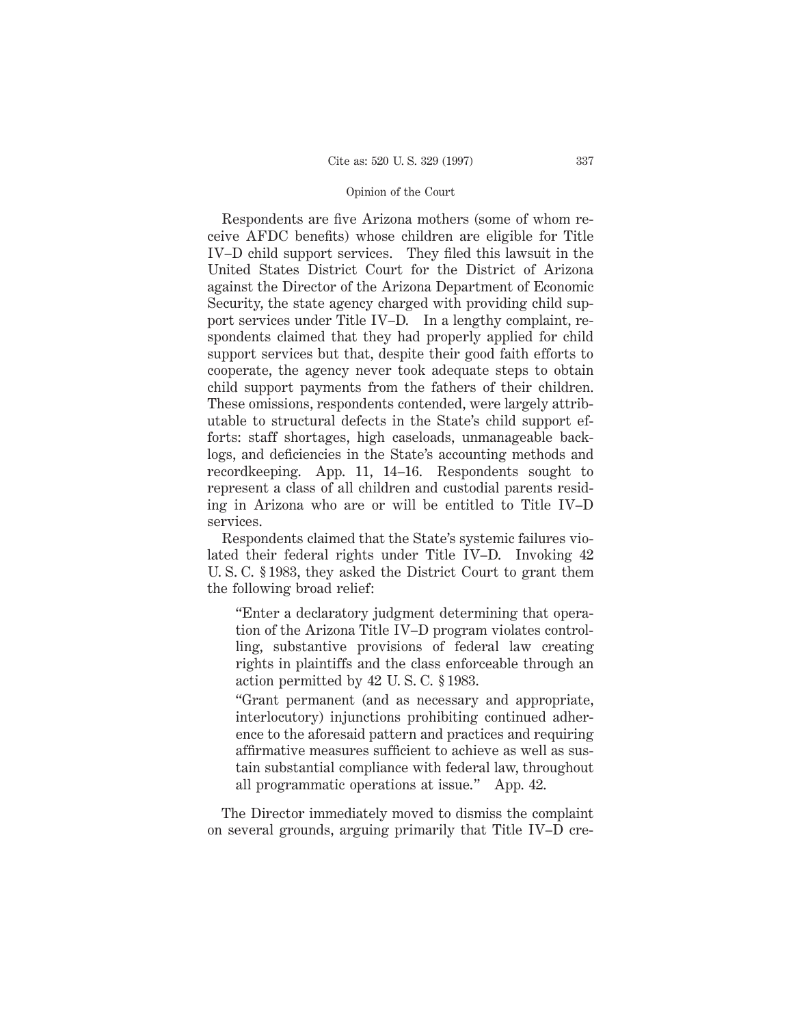Respondents are five Arizona mothers (some of whom receive AFDC benefits) whose children are eligible for Title IV–D child support services. They filed this lawsuit in the United States District Court for the District of Arizona against the Director of the Arizona Department of Economic Security, the state agency charged with providing child support services under Title IV–D. In a lengthy complaint, respondents claimed that they had properly applied for child support services but that, despite their good faith efforts to cooperate, the agency never took adequate steps to obtain child support payments from the fathers of their children. These omissions, respondents contended, were largely attributable to structural defects in the State's child support efforts: staff shortages, high caseloads, unmanageable backlogs, and deficiencies in the State's accounting methods and recordkeeping. App. 11, 14–16. Respondents sought to represent a class of all children and custodial parents residing in Arizona who are or will be entitled to Title IV–D services.

Respondents claimed that the State's systemic failures violated their federal rights under Title IV–D. Invoking 42 U. S. C. § 1983, they asked the District Court to grant them the following broad relief:

"Enter a declaratory judgment determining that operation of the Arizona Title IV–D program violates controlling, substantive provisions of federal law creating rights in plaintiffs and the class enforceable through an action permitted by 42 U. S. C. § 1983.

"Grant permanent (and as necessary and appropriate, interlocutory) injunctions prohibiting continued adherence to the aforesaid pattern and practices and requiring affirmative measures sufficient to achieve as well as sustain substantial compliance with federal law, throughout all programmatic operations at issue." App. 42.

The Director immediately moved to dismiss the complaint on several grounds, arguing primarily that Title IV–D cre-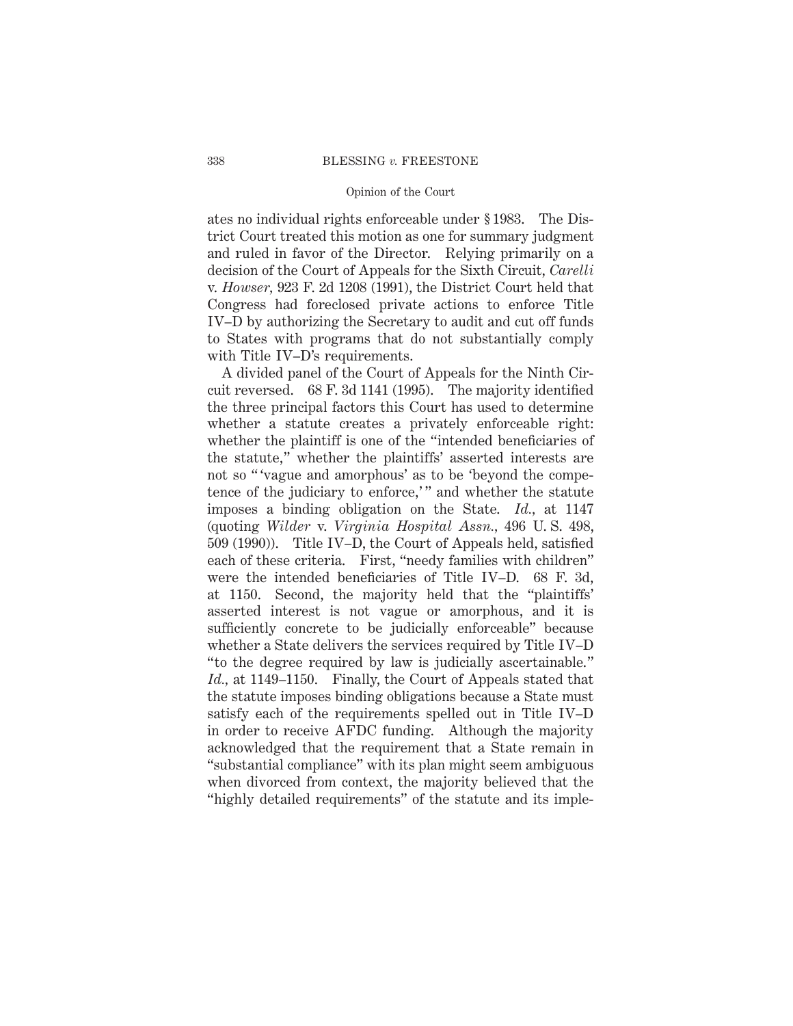ates no individual rights enforceable under § 1983. The District Court treated this motion as one for summary judgment and ruled in favor of the Director. Relying primarily on a decision of the Court of Appeals for the Sixth Circuit, *Carelli* v. *Howser,* 923 F. 2d 1208 (1991), the District Court held that Congress had foreclosed private actions to enforce Title IV–D by authorizing the Secretary to audit and cut off funds to States with programs that do not substantially comply with Title IV–D's requirements.

A divided panel of the Court of Appeals for the Ninth Circuit reversed. 68 F. 3d 1141 (1995). The majority identified the three principal factors this Court has used to determine whether a statute creates a privately enforceable right: whether the plaintiff is one of the "intended beneficiaries of the statute," whether the plaintiffs' asserted interests are not so "'vague and amorphous' as to be 'beyond the competence of the judiciary to enforce,'" and whether the statute imposes a binding obligation on the State. *Id.,* at 1147 (quoting *Wilder* v. *Virginia Hospital Assn.,* 496 U. S. 498, 509 (1990)). Title IV–D, the Court of Appeals held, satisfied each of these criteria. First, "needy families with children" were the intended beneficiaries of Title IV–D. 68 F. 3d, at 1150. Second, the majority held that the "plaintiffs' asserted interest is not vague or amorphous, and it is sufficiently concrete to be judicially enforceable" because whether a State delivers the services required by Title IV–D "to the degree required by law is judicially ascertainable." *Id.,* at 1149–1150. Finally, the Court of Appeals stated that the statute imposes binding obligations because a State must satisfy each of the requirements spelled out in Title IV–D in order to receive AFDC funding. Although the majority acknowledged that the requirement that a State remain in "substantial compliance" with its plan might seem ambiguous when divorced from context, the majority believed that the "highly detailed requirements" of the statute and its imple-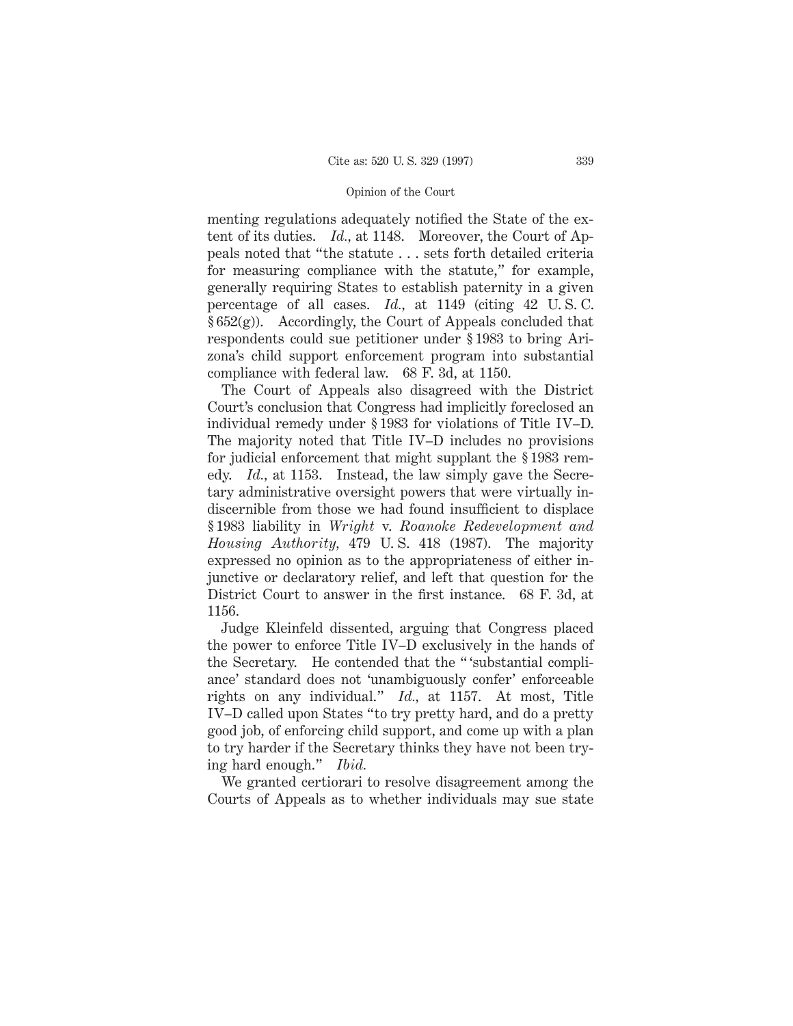menting regulations adequately notified the State of the extent of its duties. *Id.,* at 1148. Moreover, the Court of Appeals noted that "the statute . . . sets forth detailed criteria for measuring compliance with the statute," for example, generally requiring States to establish paternity in a given percentage of all cases. *Id.,* at 1149 (citing 42 U. S. C.  $§ 652(g)$ . Accordingly, the Court of Appeals concluded that respondents could sue petitioner under § 1983 to bring Arizona's child support enforcement program into substantial compliance with federal law. 68 F. 3d, at 1150.

The Court of Appeals also disagreed with the District Court's conclusion that Congress had implicitly foreclosed an individual remedy under § 1983 for violations of Title IV–D. The majority noted that Title IV–D includes no provisions for judicial enforcement that might supplant the § 1983 remedy. *Id.,* at 1153. Instead, the law simply gave the Secretary administrative oversight powers that were virtually indiscernible from those we had found insufficient to displace § 1983 liability in *Wright* v. *Roanoke Redevelopment and Housing Authority,* 479 U. S. 418 (1987). The majority expressed no opinion as to the appropriateness of either injunctive or declaratory relief, and left that question for the District Court to answer in the first instance. 68 F. 3d, at 1156.

Judge Kleinfeld dissented, arguing that Congress placed the power to enforce Title IV–D exclusively in the hands of the Secretary. He contended that the " 'substantial compliance' standard does not 'unambiguously confer' enforceable rights on any individual." *Id.,* at 1157. At most, Title IV–D called upon States "to try pretty hard, and do a pretty good job, of enforcing child support, and come up with a plan to try harder if the Secretary thinks they have not been trying hard enough." *Ibid.*

We granted certiorari to resolve disagreement among the Courts of Appeals as to whether individuals may sue state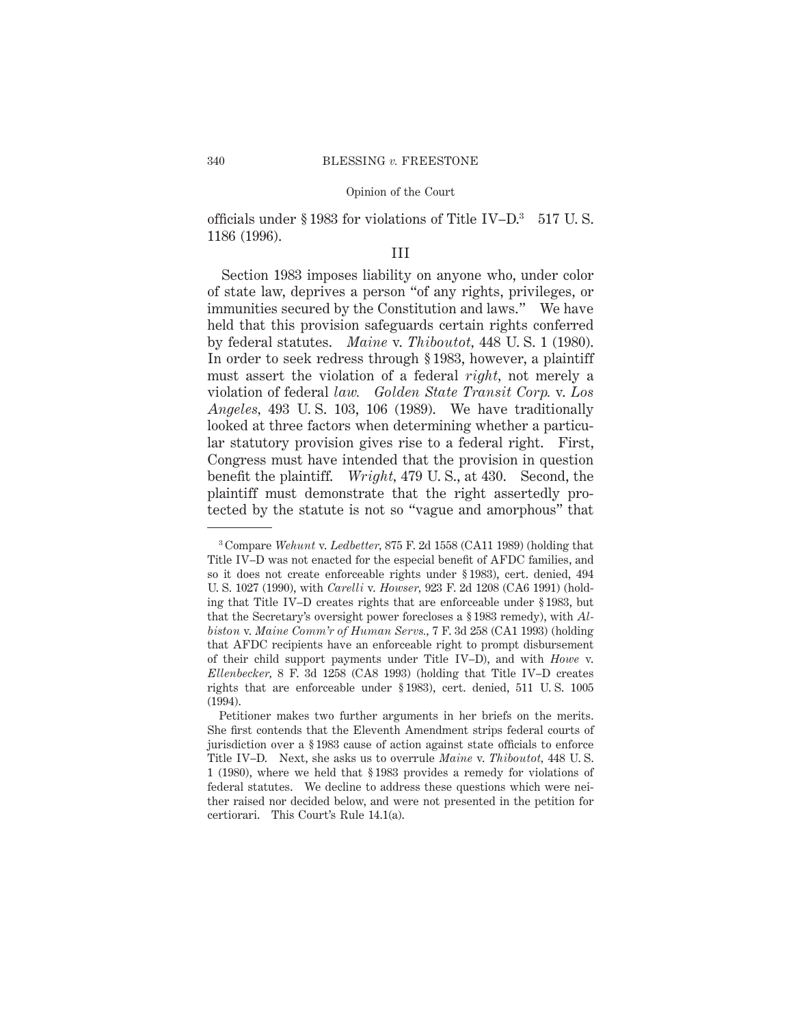officials under § 1983 for violations of Title IV–D.3 517 U. S. 1186 (1996).

## III

Section 1983 imposes liability on anyone who, under color of state law, deprives a person "of any rights, privileges, or immunities secured by the Constitution and laws." We have held that this provision safeguards certain rights conferred by federal statutes. *Maine* v. *Thiboutot,* 448 U. S. 1 (1980). In order to seek redress through § 1983, however, a plaintiff must assert the violation of a federal *right,* not merely a violation of federal *law. Golden State Transit Corp.* v. *Los Angeles,* 493 U. S. 103, 106 (1989). We have traditionally looked at three factors when determining whether a particular statutory provision gives rise to a federal right. First, Congress must have intended that the provision in question benefit the plaintiff. *Wright,* 479 U. S., at 430. Second, the plaintiff must demonstrate that the right assertedly protected by the statute is not so "vague and amorphous" that

<sup>3</sup> Compare *Wehunt* v. *Ledbetter,* 875 F. 2d 1558 (CA11 1989) (holding that Title IV–D was not enacted for the especial benefit of AFDC families, and so it does not create enforceable rights under § 1983), cert. denied, 494 U. S. 1027 (1990), with *Carelli* v. *Howser,* 923 F. 2d 1208 (CA6 1991) (holding that Title IV–D creates rights that are enforceable under § 1983, but that the Secretary's oversight power forecloses a § 1983 remedy), with *Albiston* v. *Maine Comm'r of Human Servs.,* 7 F. 3d 258 (CA1 1993) (holding that AFDC recipients have an enforceable right to prompt disbursement of their child support payments under Title IV–D), and with *Howe* v. *Ellenbecker,* 8 F. 3d 1258 (CA8 1993) (holding that Title IV–D creates rights that are enforceable under § 1983), cert. denied, 511 U. S. 1005 (1994).

Petitioner makes two further arguments in her briefs on the merits. She first contends that the Eleventh Amendment strips federal courts of jurisdiction over a § 1983 cause of action against state officials to enforce Title IV–D. Next, she asks us to overrule *Maine* v. *Thiboutot,* 448 U. S. 1 (1980), where we held that § 1983 provides a remedy for violations of federal statutes. We decline to address these questions which were neither raised nor decided below, and were not presented in the petition for certiorari. This Court's Rule 14.1(a).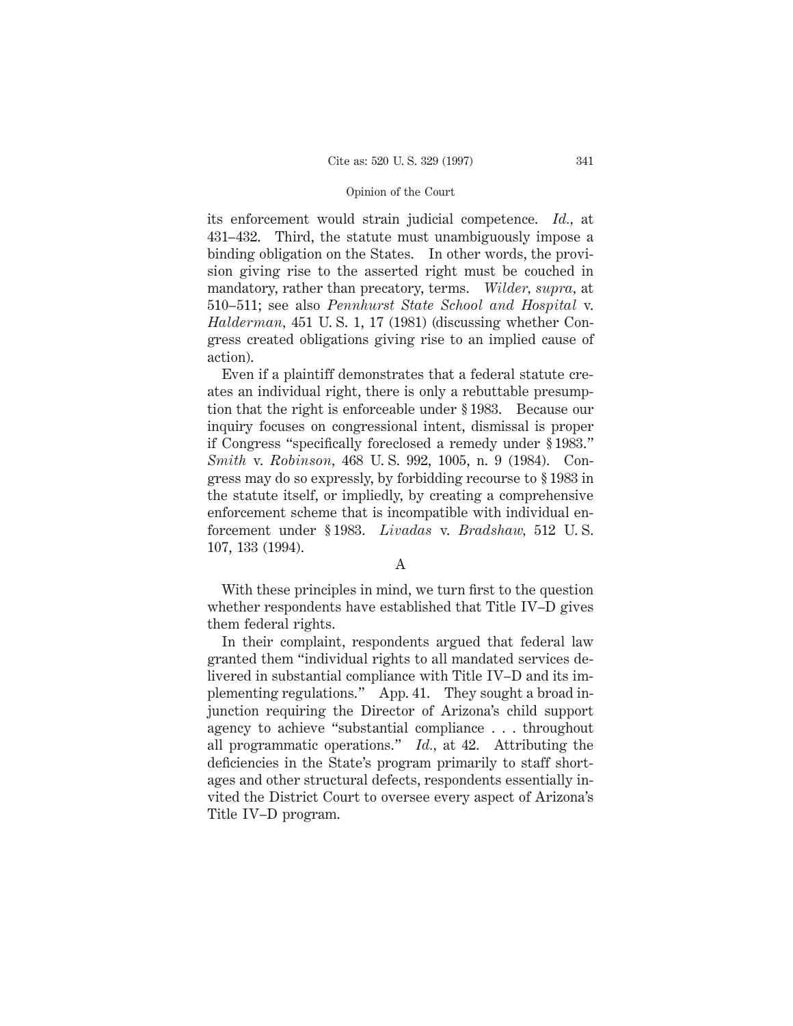its enforcement would strain judicial competence. *Id.,* at 431–432. Third, the statute must unambiguously impose a binding obligation on the States. In other words, the provision giving rise to the asserted right must be couched in mandatory, rather than precatory, terms. *Wilder, supra,* at 510–511; see also *Pennhurst State School and Hospital* v. *Halderman,* 451 U. S. 1, 17 (1981) (discussing whether Congress created obligations giving rise to an implied cause of action).

Even if a plaintiff demonstrates that a federal statute creates an individual right, there is only a rebuttable presumption that the right is enforceable under § 1983. Because our inquiry focuses on congressional intent, dismissal is proper if Congress "specifically foreclosed a remedy under § 1983." *Smith* v. *Robinson,* 468 U. S. 992, 1005, n. 9 (1984). Congress may do so expressly, by forbidding recourse to § 1983 in the statute itself, or impliedly, by creating a comprehensive enforcement scheme that is incompatible with individual enforcement under § 1983. *Livadas* v. *Bradshaw,* 512 U. S. 107, 133 (1994).

## A

With these principles in mind, we turn first to the question whether respondents have established that Title IV–D gives them federal rights.

In their complaint, respondents argued that federal law granted them "individual rights to all mandated services delivered in substantial compliance with Title IV–D and its implementing regulations." App. 41. They sought a broad injunction requiring the Director of Arizona's child support agency to achieve "substantial compliance . . . throughout all programmatic operations." *Id.,* at 42. Attributing the deficiencies in the State's program primarily to staff shortages and other structural defects, respondents essentially invited the District Court to oversee every aspect of Arizona's Title IV–D program.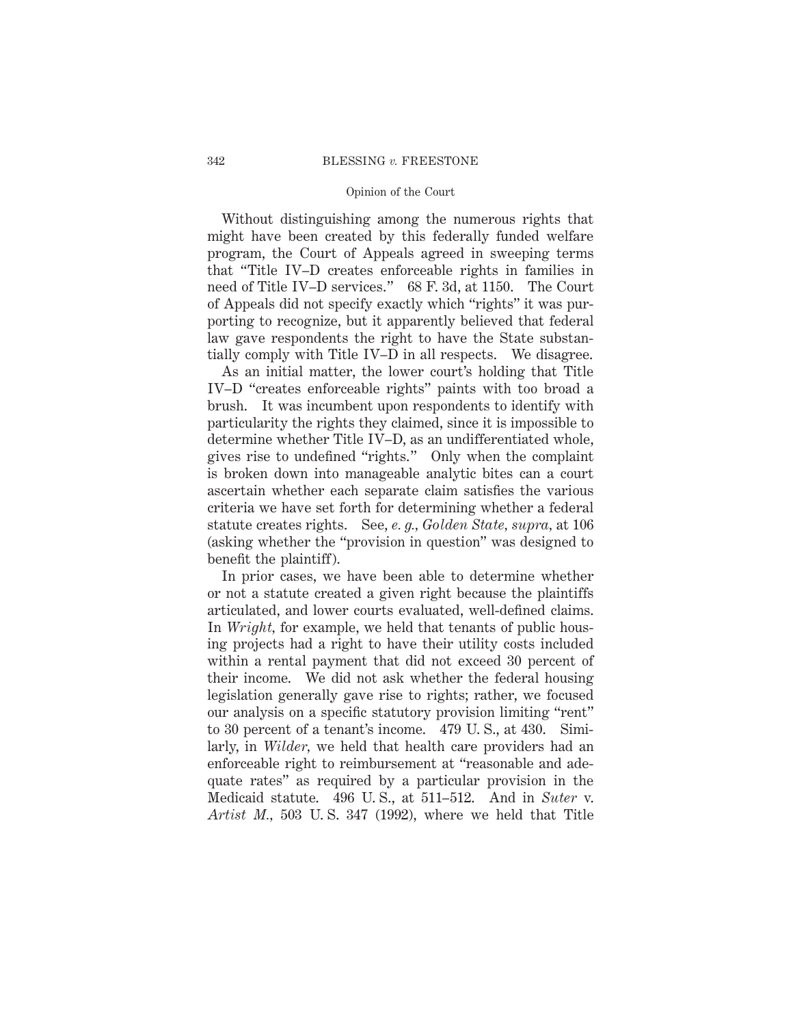Without distinguishing among the numerous rights that might have been created by this federally funded welfare program, the Court of Appeals agreed in sweeping terms that "Title IV–D creates enforceable rights in families in need of Title IV–D services." 68 F. 3d, at 1150. The Court of Appeals did not specify exactly which "rights" it was purporting to recognize, but it apparently believed that federal law gave respondents the right to have the State substantially comply with Title IV–D in all respects. We disagree.

As an initial matter, the lower court's holding that Title IV–D "creates enforceable rights" paints with too broad a brush. It was incumbent upon respondents to identify with particularity the rights they claimed, since it is impossible to determine whether Title IV–D, as an undifferentiated whole, gives rise to undefined "rights." Only when the complaint is broken down into manageable analytic bites can a court ascertain whether each separate claim satisfies the various criteria we have set forth for determining whether a federal statute creates rights. See, *e. g., Golden State, supra,* at 106 (asking whether the "provision in question" was designed to benefit the plaintiff).

In prior cases, we have been able to determine whether or not a statute created a given right because the plaintiffs articulated, and lower courts evaluated, well-defined claims. In *Wright,* for example, we held that tenants of public housing projects had a right to have their utility costs included within a rental payment that did not exceed 30 percent of their income. We did not ask whether the federal housing legislation generally gave rise to rights; rather, we focused our analysis on a specific statutory provision limiting "rent" to 30 percent of a tenant's income. 479 U. S., at 430. Similarly, in *Wilder,* we held that health care providers had an enforceable right to reimbursement at "reasonable and adequate rates" as required by a particular provision in the Medicaid statute. 496 U. S., at 511–512. And in *Suter* v. *Artist M.,* 503 U. S. 347 (1992), where we held that Title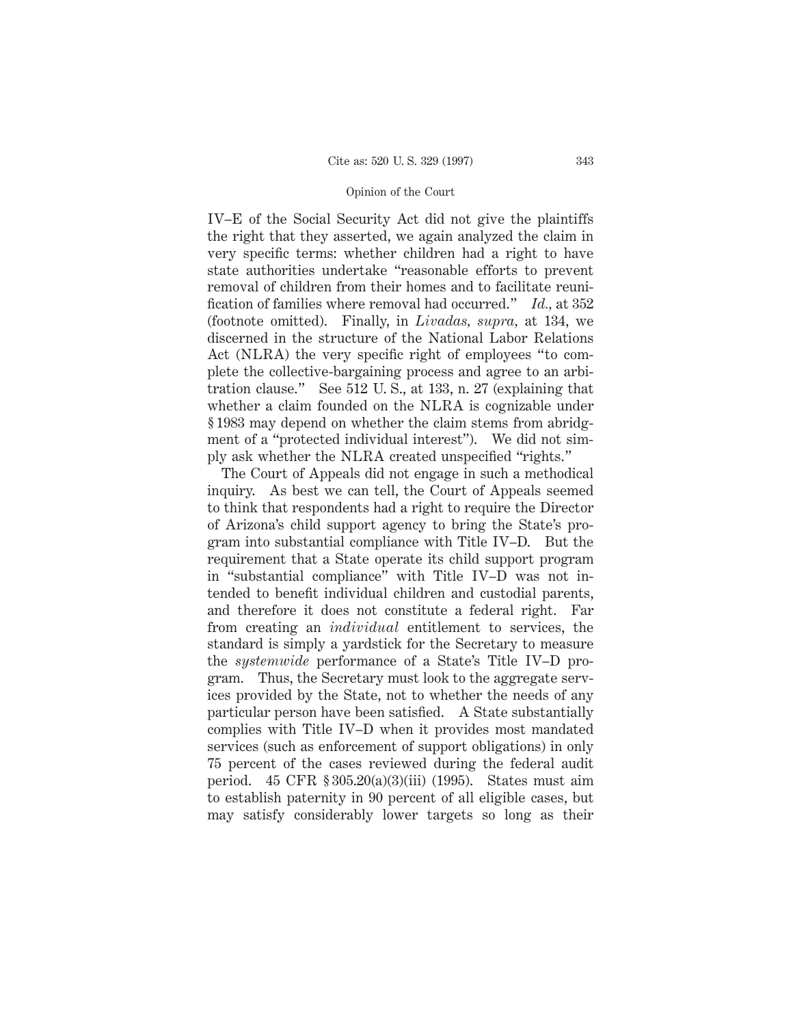IV–E of the Social Security Act did not give the plaintiffs the right that they asserted, we again analyzed the claim in very specific terms: whether children had a right to have state authorities undertake "reasonable efforts to prevent removal of children from their homes and to facilitate reunification of families where removal had occurred." *Id.,* at 352 (footnote omitted). Finally, in *Livadas, supra,* at 134, we discerned in the structure of the National Labor Relations Act (NLRA) the very specific right of employees "to complete the collective-bargaining process and agree to an arbitration clause." See 512 U. S., at 133, n. 27 (explaining that whether a claim founded on the NLRA is cognizable under § 1983 may depend on whether the claim stems from abridgment of a "protected individual interest"). We did not simply ask whether the NLRA created unspecified "rights."

The Court of Appeals did not engage in such a methodical inquiry. As best we can tell, the Court of Appeals seemed to think that respondents had a right to require the Director of Arizona's child support agency to bring the State's program into substantial compliance with Title IV–D. But the requirement that a State operate its child support program in "substantial compliance" with Title IV–D was not intended to benefit individual children and custodial parents, and therefore it does not constitute a federal right. Far from creating an *individual* entitlement to services, the standard is simply a yardstick for the Secretary to measure the *systemwide* performance of a State's Title IV–D program. Thus, the Secretary must look to the aggregate services provided by the State, not to whether the needs of any particular person have been satisfied. A State substantially complies with Title IV–D when it provides most mandated services (such as enforcement of support obligations) in only 75 percent of the cases reviewed during the federal audit period. 45 CFR § 305.20(a)(3)(iii) (1995). States must aim to establish paternity in 90 percent of all eligible cases, but may satisfy considerably lower targets so long as their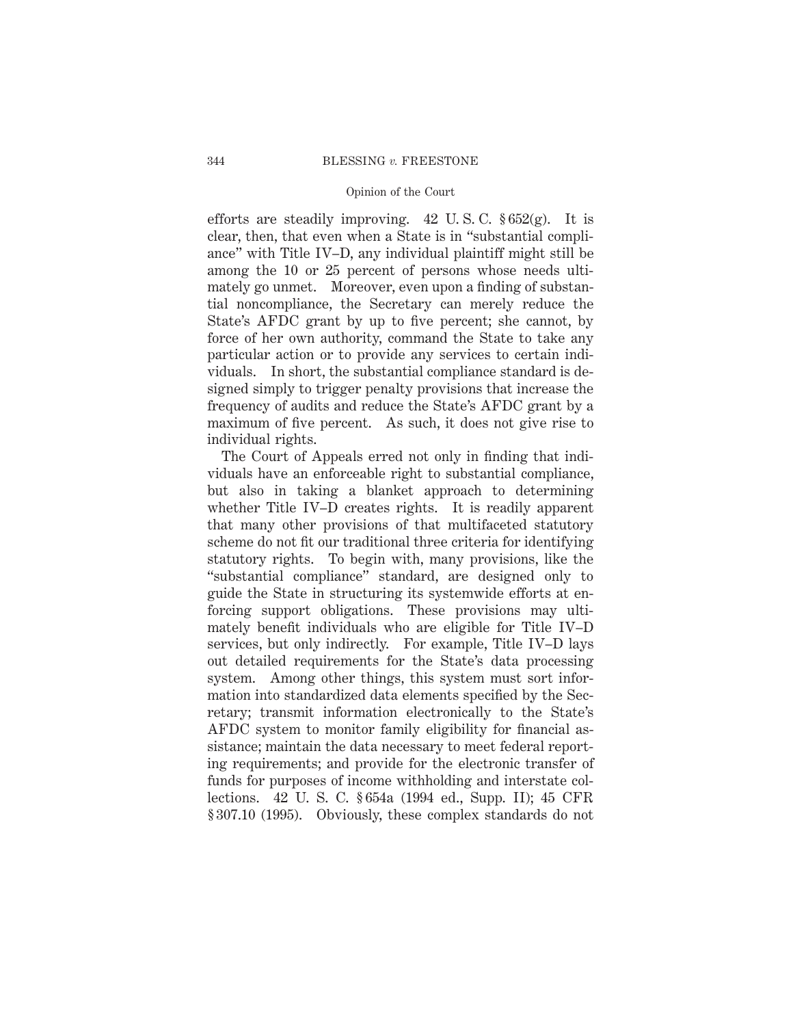efforts are steadily improving. 42 U.S.C.  $\S 652(g)$ . It is clear, then, that even when a State is in "substantial compliance" with Title IV–D, any individual plaintiff might still be among the 10 or 25 percent of persons whose needs ultimately go unmet. Moreover, even upon a finding of substantial noncompliance, the Secretary can merely reduce the State's AFDC grant by up to five percent; she cannot, by force of her own authority, command the State to take any particular action or to provide any services to certain individuals. In short, the substantial compliance standard is designed simply to trigger penalty provisions that increase the frequency of audits and reduce the State's AFDC grant by a maximum of five percent. As such, it does not give rise to individual rights.

The Court of Appeals erred not only in finding that individuals have an enforceable right to substantial compliance, but also in taking a blanket approach to determining whether Title IV–D creates rights. It is readily apparent that many other provisions of that multifaceted statutory scheme do not fit our traditional three criteria for identifying statutory rights. To begin with, many provisions, like the "substantial compliance" standard, are designed only to guide the State in structuring its systemwide efforts at enforcing support obligations. These provisions may ultimately benefit individuals who are eligible for Title IV–D services, but only indirectly. For example, Title IV–D lays out detailed requirements for the State's data processing system. Among other things, this system must sort information into standardized data elements specified by the Secretary; transmit information electronically to the State's AFDC system to monitor family eligibility for financial assistance; maintain the data necessary to meet federal reporting requirements; and provide for the electronic transfer of funds for purposes of income withholding and interstate collections. 42 U. S. C. § 654a (1994 ed., Supp. II); 45 CFR § 307.10 (1995). Obviously, these complex standards do not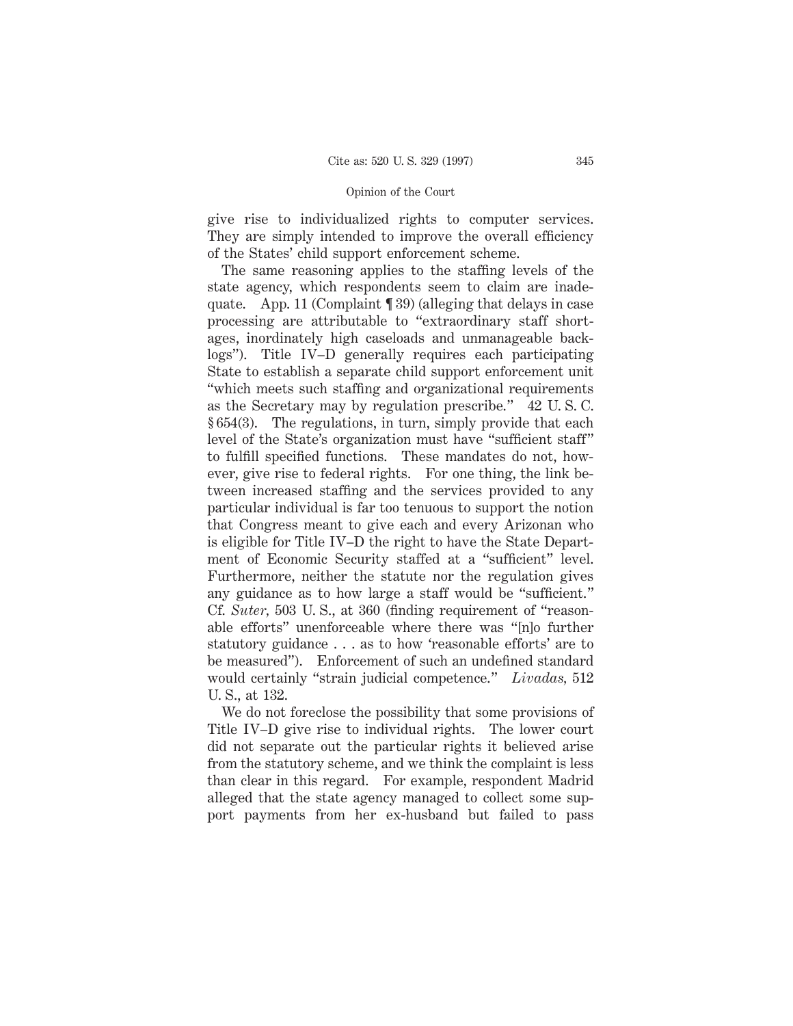give rise to individualized rights to computer services. They are simply intended to improve the overall efficiency of the States' child support enforcement scheme.

The same reasoning applies to the staffing levels of the state agency, which respondents seem to claim are inadequate. App. 11 (Complaint ¶ 39) (alleging that delays in case processing are attributable to "extraordinary staff shortages, inordinately high caseloads and unmanageable backlogs"). Title IV–D generally requires each participating State to establish a separate child support enforcement unit "which meets such staffing and organizational requirements as the Secretary may by regulation prescribe." 42 U. S. C. § 654(3). The regulations, in turn, simply provide that each level of the State's organization must have "sufficient staff" to fulfill specified functions. These mandates do not, however, give rise to federal rights. For one thing, the link between increased staffing and the services provided to any particular individual is far too tenuous to support the notion that Congress meant to give each and every Arizonan who is eligible for Title IV–D the right to have the State Department of Economic Security staffed at a "sufficient" level. Furthermore, neither the statute nor the regulation gives any guidance as to how large a staff would be "sufficient." Cf. *Suter,* 503 U. S., at 360 (finding requirement of "reasonable efforts" unenforceable where there was "[n]o further statutory guidance . . . as to how 'reasonable efforts' are to be measured"). Enforcement of such an undefined standard would certainly "strain judicial competence." *Livadas,* 512 U. S., at 132.

We do not foreclose the possibility that some provisions of Title IV–D give rise to individual rights. The lower court did not separate out the particular rights it believed arise from the statutory scheme, and we think the complaint is less than clear in this regard. For example, respondent Madrid alleged that the state agency managed to collect some support payments from her ex-husband but failed to pass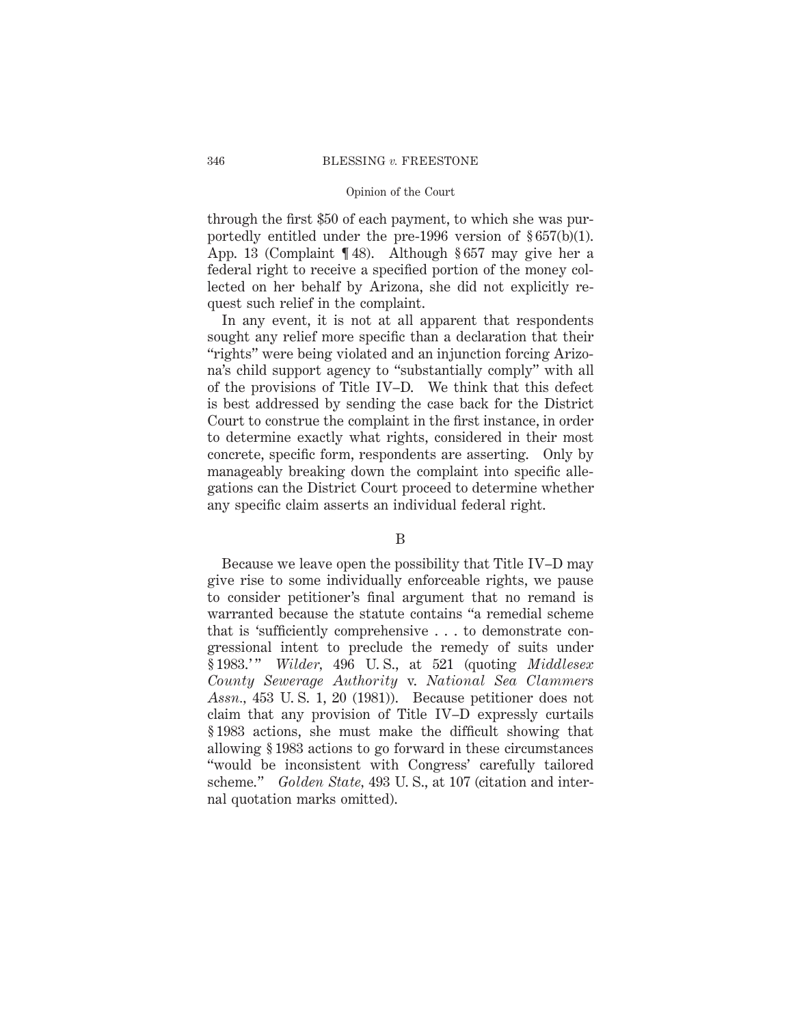through the first \$50 of each payment, to which she was purportedly entitled under the pre-1996 version of § 657(b)(1). App. 13 (Complaint ¶ 48). Although § 657 may give her a federal right to receive a specified portion of the money collected on her behalf by Arizona, she did not explicitly request such relief in the complaint.

In any event, it is not at all apparent that respondents sought any relief more specific than a declaration that their "rights" were being violated and an injunction forcing Arizona's child support agency to "substantially comply" with all of the provisions of Title IV–D. We think that this defect is best addressed by sending the case back for the District Court to construe the complaint in the first instance, in order to determine exactly what rights, considered in their most concrete, specific form, respondents are asserting. Only by manageably breaking down the complaint into specific allegations can the District Court proceed to determine whether any specific claim asserts an individual federal right.

## B

Because we leave open the possibility that Title IV–D may give rise to some individually enforceable rights, we pause to consider petitioner's final argument that no remand is warranted because the statute contains "a remedial scheme that is 'sufficiently comprehensive . . . to demonstrate congressional intent to preclude the remedy of suits under § 1983.' " *Wilder,* 496 U. S., at 521 (quoting *Middlesex County Sewerage Authority* v. *National Sea Clammers Assn.,* 453 U. S. 1, 20 (1981)). Because petitioner does not claim that any provision of Title IV–D expressly curtails § 1983 actions, she must make the difficult showing that allowing § 1983 actions to go forward in these circumstances "would be inconsistent with Congress' carefully tailored scheme." *Golden State,* 493 U. S., at 107 (citation and internal quotation marks omitted).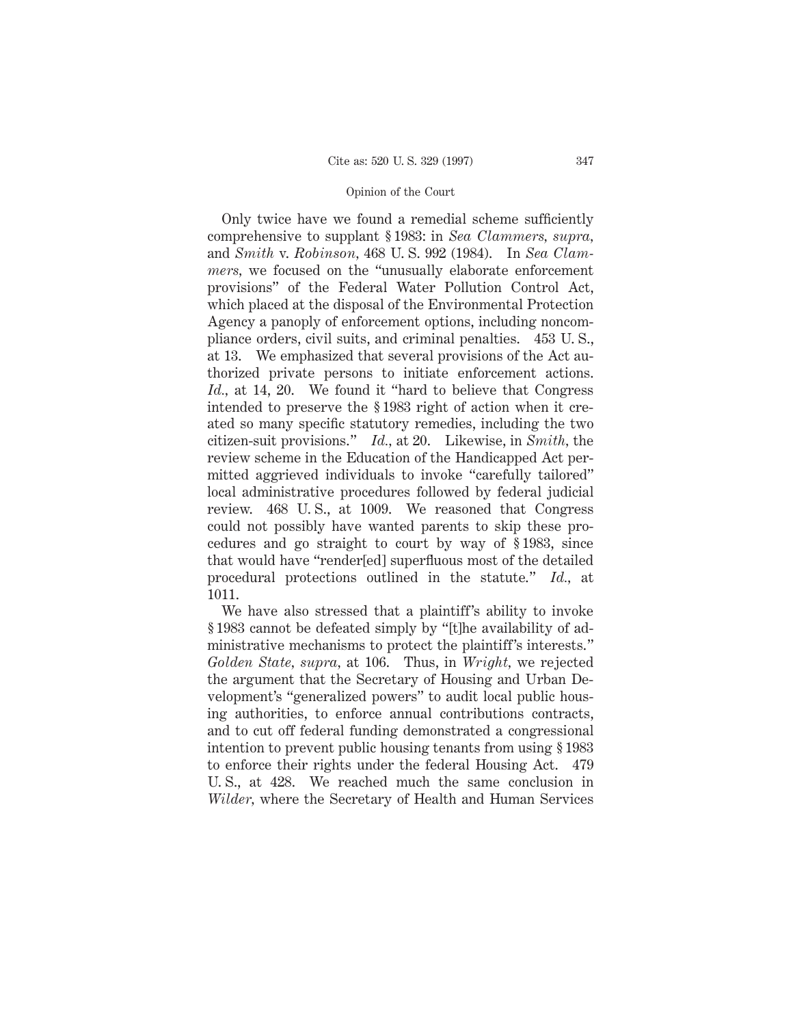Only twice have we found a remedial scheme sufficiently comprehensive to supplant § 1983: in *Sea Clammers, supra,* and *Smith* v. *Robinson,* 468 U. S. 992 (1984). In *Sea Clammers,* we focused on the "unusually elaborate enforcement provisions" of the Federal Water Pollution Control Act, which placed at the disposal of the Environmental Protection Agency a panoply of enforcement options, including noncompliance orders, civil suits, and criminal penalties. 453 U. S., at 13. We emphasized that several provisions of the Act authorized private persons to initiate enforcement actions. *Id.,* at 14, 20. We found it "hard to believe that Congress intended to preserve the § 1983 right of action when it created so many specific statutory remedies, including the two citizen-suit provisions." *Id.,* at 20. Likewise, in *Smith,* the review scheme in the Education of the Handicapped Act permitted aggrieved individuals to invoke "carefully tailored" local administrative procedures followed by federal judicial review. 468 U. S., at 1009. We reasoned that Congress could not possibly have wanted parents to skip these procedures and go straight to court by way of § 1983, since that would have "render[ed] superfluous most of the detailed procedural protections outlined in the statute." *Id.,* at 1011.

We have also stressed that a plaintiff's ability to invoke § 1983 cannot be defeated simply by "[t]he availability of administrative mechanisms to protect the plaintiff's interests." *Golden State, supra,* at 106. Thus, in *Wright,* we rejected the argument that the Secretary of Housing and Urban Development's "generalized powers" to audit local public housing authorities, to enforce annual contributions contracts, and to cut off federal funding demonstrated a congressional intention to prevent public housing tenants from using § 1983 to enforce their rights under the federal Housing Act. 479 U. S., at 428. We reached much the same conclusion in *Wilder,* where the Secretary of Health and Human Services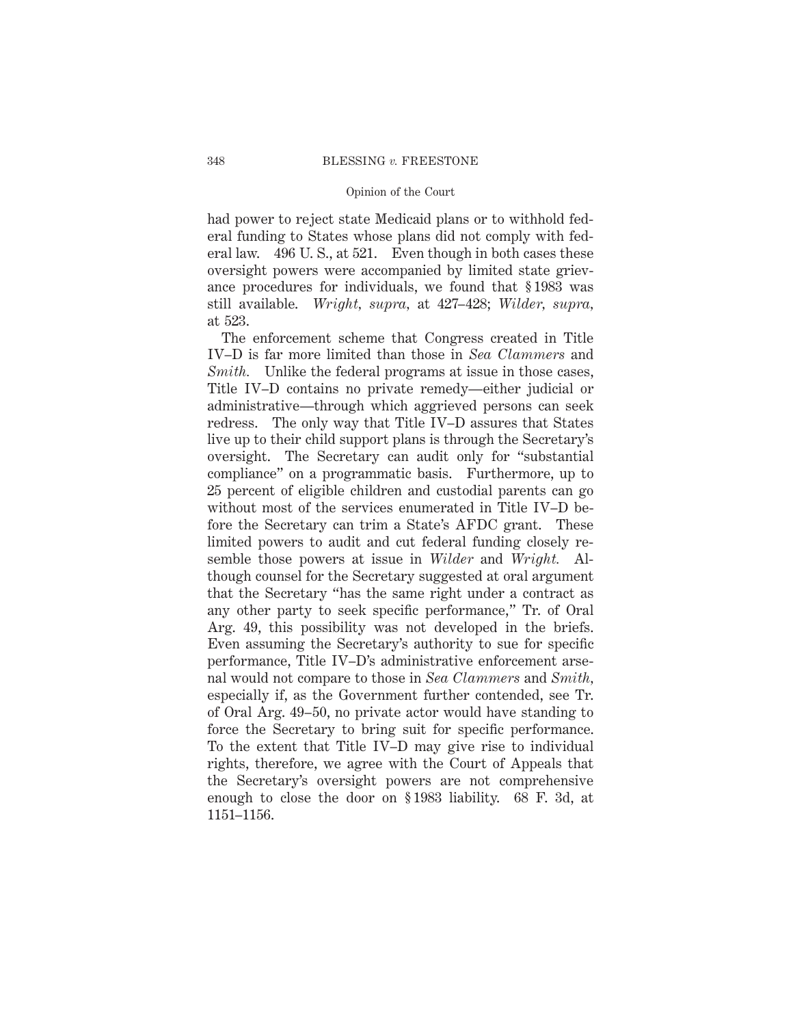had power to reject state Medicaid plans or to withhold federal funding to States whose plans did not comply with federal law. 496 U. S., at 521. Even though in both cases these oversight powers were accompanied by limited state grievance procedures for individuals, we found that § 1983 was still available. *Wright, supra,* at 427–428; *Wilder, supra,* at 523.

The enforcement scheme that Congress created in Title IV–D is far more limited than those in *Sea Clammers* and *Smith.* Unlike the federal programs at issue in those cases. Title IV–D contains no private remedy—either judicial or administrative—through which aggrieved persons can seek redress. The only way that Title IV–D assures that States live up to their child support plans is through the Secretary's oversight. The Secretary can audit only for "substantial compliance" on a programmatic basis. Furthermore, up to 25 percent of eligible children and custodial parents can go without most of the services enumerated in Title IV–D before the Secretary can trim a State's AFDC grant. These limited powers to audit and cut federal funding closely resemble those powers at issue in *Wilder* and *Wright.* Although counsel for the Secretary suggested at oral argument that the Secretary "has the same right under a contract as any other party to seek specific performance," Tr. of Oral Arg. 49, this possibility was not developed in the briefs. Even assuming the Secretary's authority to sue for specific performance, Title IV–D's administrative enforcement arsenal would not compare to those in *Sea Clammers* and *Smith,* especially if, as the Government further contended, see Tr. of Oral Arg. 49–50, no private actor would have standing to force the Secretary to bring suit for specific performance. To the extent that Title IV–D may give rise to individual rights, therefore, we agree with the Court of Appeals that the Secretary's oversight powers are not comprehensive enough to close the door on § 1983 liability. 68 F. 3d, at 1151–1156.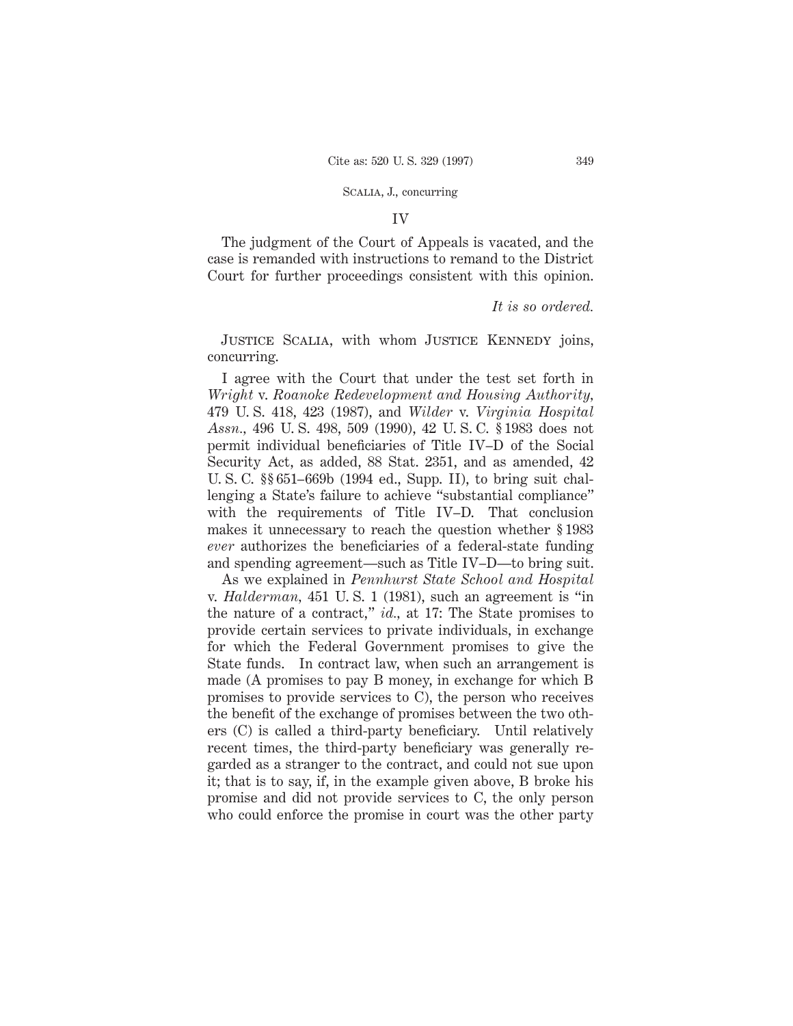## Scalia, J., concurring

## IV

The judgment of the Court of Appeals is vacated, and the case is remanded with instructions to remand to the District Court for further proceedings consistent with this opinion.

*It is so ordered.*

Justice Scalia, with whom Justice Kennedy joins, concurring.

I agree with the Court that under the test set forth in *Wright* v. *Roanoke Redevelopment and Housing Authority,* 479 U. S. 418, 423 (1987), and *Wilder* v. *Virginia Hospital Assn.,* 496 U. S. 498, 509 (1990), 42 U. S. C. § 1983 does not permit individual beneficiaries of Title IV–D of the Social Security Act, as added, 88 Stat. 2351, and as amended, 42 U. S. C. §§ 651–669b (1994 ed., Supp. II), to bring suit challenging a State's failure to achieve "substantial compliance" with the requirements of Title IV–D. That conclusion makes it unnecessary to reach the question whether § 1983 *ever* authorizes the beneficiaries of a federal-state funding and spending agreement—such as Title IV–D—to bring suit.

As we explained in *Pennhurst State School and Hospital* v. *Halderman,* 451 U. S. 1 (1981), such an agreement is "in the nature of a contract," *id.,* at 17: The State promises to provide certain services to private individuals, in exchange for which the Federal Government promises to give the State funds. In contract law, when such an arrangement is made (A promises to pay B money, in exchange for which B promises to provide services to C), the person who receives the benefit of the exchange of promises between the two others (C) is called a third-party beneficiary. Until relatively recent times, the third-party beneficiary was generally regarded as a stranger to the contract, and could not sue upon it; that is to say, if, in the example given above, B broke his promise and did not provide services to C, the only person who could enforce the promise in court was the other party